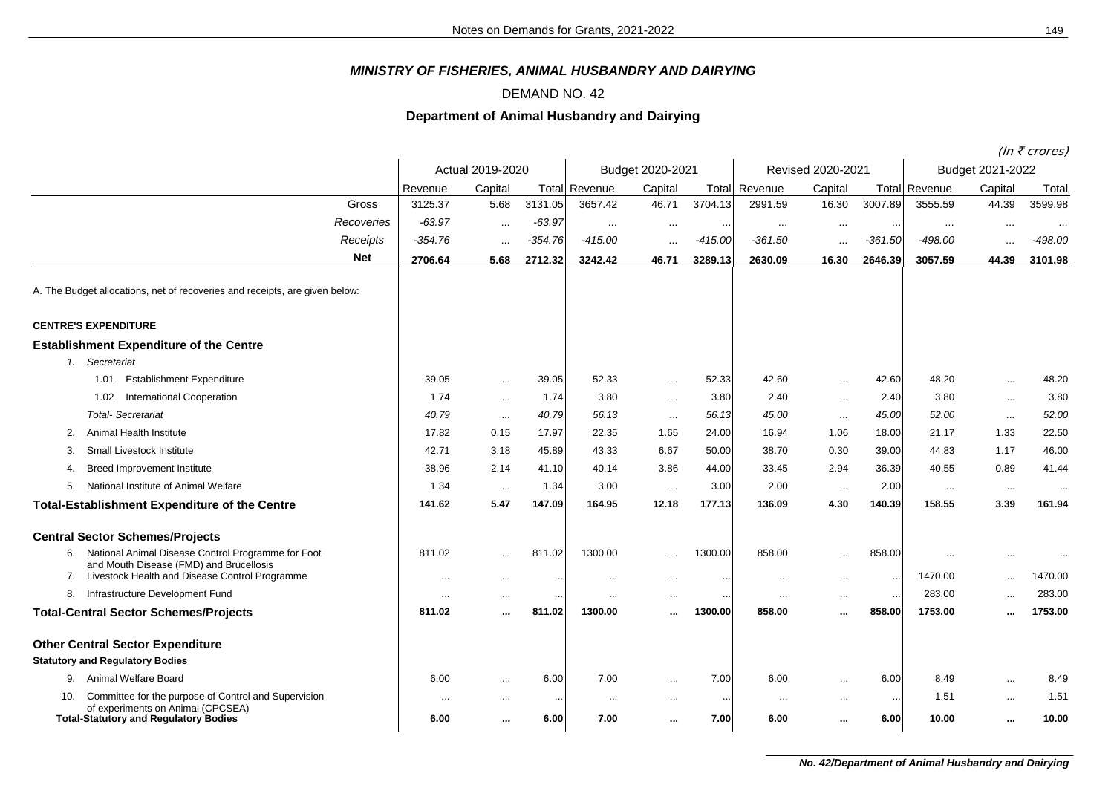## *MINISTRY OF FISHERIES, ANIMAL HUSBANDRY AND DAIRYING*

## DEMAND NO. 42

## **Department of Animal Husbandry and Dairying**

(In  $\bar{\tau}$  crores)

|                                                                                                  |                  |          |           |                  |           | $(III \setminus CIUIES)$ |                   |           |           |                  |           |           |
|--------------------------------------------------------------------------------------------------|------------------|----------|-----------|------------------|-----------|--------------------------|-------------------|-----------|-----------|------------------|-----------|-----------|
|                                                                                                  | Actual 2019-2020 |          |           | Budget 2020-2021 |           |                          | Revised 2020-2021 |           |           | Budget 2021-2022 |           |           |
|                                                                                                  | Revenue          | Capital  | Total     | Revenue          | Capital   | Total                    | Revenue           | Capital   |           | Total Revenue    | Capital   | Total     |
| Gross                                                                                            | 3125.37          | 5.68     | 3131.05   | 3657.42          | 46.71     | 3704.13                  | 2991.59           | 16.30     | 3007.89   | 3555.59          | 44.39     | 3599.98   |
| Recoveries                                                                                       | $-63.97$         | $\cdots$ | $-63.97$  | $\cdots$         | $\cdots$  | $\cdots$                 | $\cdots$          | $\cdots$  |           | $\cdots$         | $\cdots$  | $\cdots$  |
| Receipts                                                                                         | $-354.76$        | $\cdots$ | $-354.76$ | $-415.00$        |           | $-415.00$                | $-361.50$         | $\cdots$  | $-361.50$ | $-498.00$        | $\cdots$  | $-498.00$ |
| <b>Net</b>                                                                                       | 2706.64          | 5.68     | 2712.32   | 3242.42          | 46.71     | 3289.13                  | 2630.09           | 16.30     | 2646.39   | 3057.59          | 44.39     | 3101.98   |
| A. The Budget allocations, net of recoveries and receipts, are given below:                      |                  |          |           |                  |           |                          |                   |           |           |                  |           |           |
| <b>CENTRE'S EXPENDITURE</b>                                                                      |                  |          |           |                  |           |                          |                   |           |           |                  |           |           |
| <b>Establishment Expenditure of the Centre</b>                                                   |                  |          |           |                  |           |                          |                   |           |           |                  |           |           |
| 1. Secretariat                                                                                   |                  |          |           |                  |           |                          |                   |           |           |                  |           |           |
| <b>Establishment Expenditure</b><br>1.01                                                         | 39.05            | $\cdots$ | 39.05     | 52.33            | $\cdots$  | 52.33                    | 42.60             | $\cdots$  | 42.60     | 48.20            | $\ldots$  | 48.20     |
| <b>International Cooperation</b><br>1.02                                                         | 1.74             | $\cdots$ | 1.74      | 3.80             | $\cdots$  | 3.80                     | 2.40              | $\cdots$  | 2.40      | 3.80             | $\sim$ .  | 3.80      |
| <b>Total-Secretariat</b>                                                                         | 40.79            | $\ldots$ | 40.79     | 56.13            | $\ldots$  | 56.13                    | 45.00             | $\ldots$  | 45.00     | 52.00            | $\cdots$  | 52.00     |
| Animal Health Institute<br>2.                                                                    | 17.82            | 0.15     | 17.97     | 22.35            | 1.65      | 24.00                    | 16.94             | 1.06      | 18.00     | 21.17            | 1.33      | 22.50     |
| Small Livestock Institute<br>3.                                                                  | 42.71            | 3.18     | 45.89     | 43.33            | 6.67      | 50.00                    | 38.70             | 0.30      | 39.00     | 44.83            | 1.17      | 46.00     |
| <b>Breed Improvement Institute</b><br>4.                                                         | 38.96            | 2.14     | 41.10     | 40.14            | 3.86      | 44.00                    | 33.45             | 2.94      | 36.39     | 40.55            | 0.89      | 41.44     |
| National Institute of Animal Welfare<br>5.                                                       | 1.34             | $\cdots$ | 1.34      | 3.00             | $\cdots$  | 3.00                     | 2.00              | $\sim$    | 2.00      | $\cdots$         | $\ldots$  | $\cdots$  |
| <b>Total-Establishment Expenditure of the Centre</b>                                             | 141.62           | 5.47     | 147.09    | 164.95           | 12.18     | 177.13                   | 136.09            | 4.30      | 140.39    | 158.55           | 3.39      | 161.94    |
| <b>Central Sector Schemes/Projects</b>                                                           |                  |          |           |                  |           |                          |                   |           |           |                  |           |           |
| National Animal Disease Control Programme for Foot<br>6.                                         | 811.02           | $\cdots$ | 811.02    | 1300.00          |           | 1300.00                  | 858.00            | $\cdots$  | 858.00    |                  | $\cdots$  |           |
| and Mouth Disease (FMD) and Brucellosis<br>7. Livestock Health and Disease Control Programme     | $\ddotsc$        | $\cdots$ | $\ddotsc$ | $\cdots$         | $\cdots$  | $\cdots$                 | $\cdots$          | $\ldots$  | $\sim$    | 1470.00          | $\cdots$  | 1470.00   |
| Infrastructure Development Fund<br>8.                                                            | $\cdots$         | $\cdots$ | $\ddotsc$ | $\ldots$         | $\cdots$  | $\ddotsc$                | $\ldots$          | $\ldots$  | $\sim$    | 283.00           | $\cdots$  | 283.00    |
| <b>Total-Central Sector Schemes/Projects</b>                                                     | 811.02           |          | 811.02    | 1300.00          |           | 1300.00                  | 858.00            | $\ddotsc$ | 858.00    | 1753.00          | $\cdots$  | 1753.00   |
| <b>Other Central Sector Expenditure</b>                                                          |                  |          |           |                  |           |                          |                   |           |           |                  |           |           |
| <b>Statutory and Regulatory Bodies</b>                                                           |                  |          |           |                  |           |                          |                   |           |           |                  |           |           |
| Animal Welfare Board<br>9.                                                                       | 6.00             | $\cdots$ | 6.00      | 7.00             | $\cdots$  | 7.00                     | 6.00              | $\ldots$  | 6.00      | 8.49             | $\cdots$  | 8.49      |
| Committee for the purpose of Control and Supervision<br>10.<br>of experiments on Animal (CPCSEA) | $\cdots$         | $\cdots$ | $\cdots$  | $\cdots$         | $\cdots$  | $\ddotsc$                | $\cdots$          | $\cdots$  | $\sim$    | 1.51             | $\cdots$  | 1.51      |
| <b>Total-Statutory and Regulatory Bodies</b>                                                     | 6.00             |          | 6.00      | 7.00             | $\ddotsc$ | 7.00                     | 6.00              |           | 6.00      | 10.00            | $\ddotsc$ | 10.00     |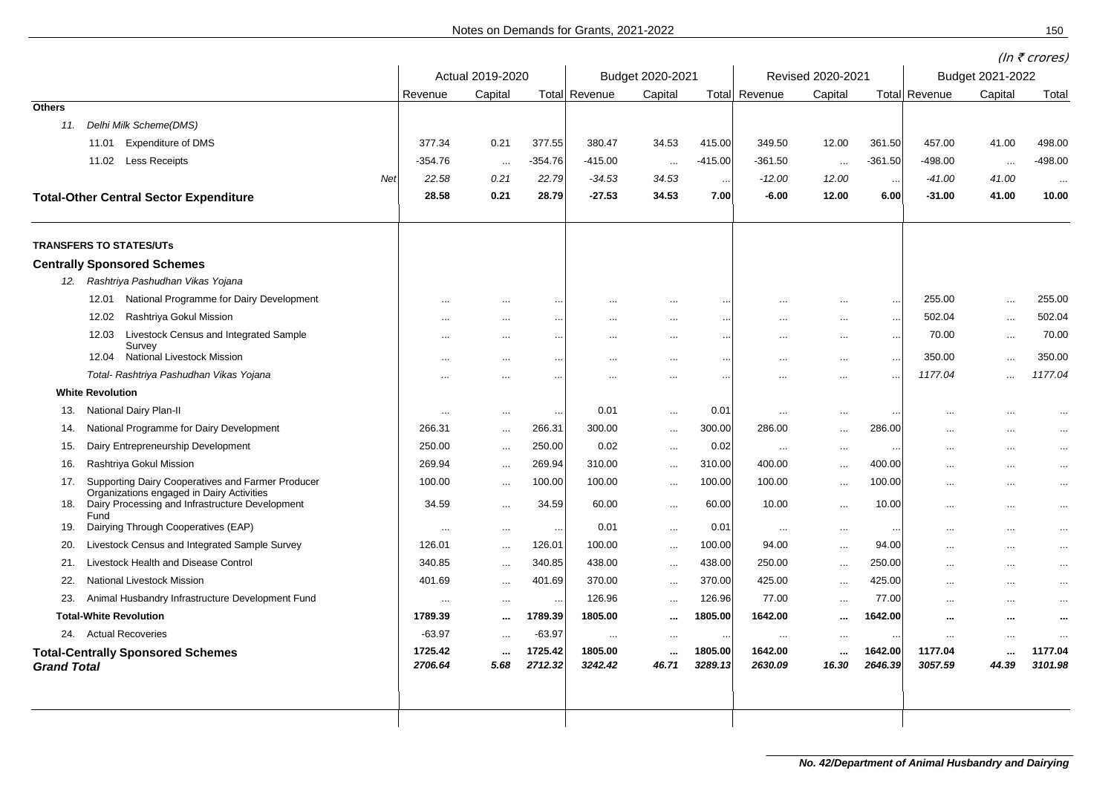|                                                                |                     |                  |                      |                      |                   |                    |                     | (In $\bar{\tau}$ crores) |                      |                      |                   |                    |  |
|----------------------------------------------------------------|---------------------|------------------|----------------------|----------------------|-------------------|--------------------|---------------------|--------------------------|----------------------|----------------------|-------------------|--------------------|--|
|                                                                | Actual 2019-2020    |                  | Budget 2020-2021     |                      |                   | Revised 2020-2021  |                     |                          | Budget 2021-2022     |                      |                   |                    |  |
|                                                                | Revenue             | Capital          |                      | <b>Total Revenue</b> | Capital           |                    | Total Revenue       | Capital                  |                      | <b>Total Revenue</b> | Capital           | Total              |  |
| <b>Others</b>                                                  |                     |                  |                      |                      |                   |                    |                     |                          |                      |                      |                   |                    |  |
| Delhi Milk Scheme(DMS)<br>11.                                  |                     |                  |                      |                      |                   |                    |                     |                          |                      |                      |                   |                    |  |
| <b>Expenditure of DMS</b><br>11.01                             | 377.34              | 0.21             | 377.55               | 380.47               | 34.53             | 415.00             | 349.50              | 12.00                    | 361.50               | 457.00               | 41.00             | 498.00             |  |
| 11.02 Less Receipts                                            | -354.76             | $\sim$           | -354.76              | $-415.00$            | $\sim$            | $-415.00$          | -361.50             | $\sim$                   | -361.50              | -498.00              | $\sim$            | $-498.00$          |  |
| Net                                                            | 22.58               | 0.21             | 22.79                | $-34.53$             | 34.53             | $\cdots$           | $-12.00$            | 12.00                    | $\ddotsc$            | $-41.00$             | 41.00             | $\ldots$           |  |
| <b>Total-Other Central Sector Expenditure</b>                  | 28.58               | 0.21             | 28.79                | $-27.53$             | 34.53             | 7.00               | $-6.00$             | 12.00                    | 6.00                 | $-31.00$             | 41.00             | 10.00              |  |
| <b>TRANSFERS TO STATES/UTs</b>                                 |                     |                  |                      |                      |                   |                    |                     |                          |                      |                      |                   |                    |  |
| <b>Centrally Sponsored Schemes</b>                             |                     |                  |                      |                      |                   |                    |                     |                          |                      |                      |                   |                    |  |
| 12. Rashtriya Pashudhan Vikas Yojana                           |                     |                  |                      |                      |                   |                    |                     |                          |                      |                      |                   |                    |  |
| 12.01 National Programme for Dairy Development                 | $\ddotsc$           | $\cdots$         | $\sim$               |                      |                   | $\ddotsc$          |                     | $\cdots$                 | $\ddot{\phantom{0}}$ | 255.00               | $\cdots$          | 255.00             |  |
| Rashtriya Gokul Mission<br>12.02                               | $\cdots$            | $\cdots$         | $\sim$               | $\cdots$             | $\cdots$          |                    | $\cdots$            | $\cdots$                 | $\ddotsc$            | 502.04               | $\ddotsc$         | 502.04             |  |
| 12.03<br>Livestock Census and Integrated Sample                | $\ddotsc$           | $\cdots$         | $\ddotsc$            | $\ddotsc$            | $\cdots$          | $\ddotsc$          | $\ddotsc$           | $\cdots$                 | $\ddotsc$            | 70.00                | $\ldots$          | 70.00              |  |
| Survey<br>12.04 National Livestock Mission                     |                     |                  |                      |                      |                   |                    |                     |                          |                      | 350.00               |                   | 350.00             |  |
| Total- Rashtriya Pashudhan Vikas Yojana                        | $\ddotsc$           | $\cdots$         | $\ddot{\phantom{a}}$ | $\ddotsc$            | $\cdots$          | $\ddotsc$          | $\ddotsc$           | $\cdots$                 | $\ddot{\phantom{0}}$ | 1177.04              | $\ldots$          | 1177.04            |  |
| <b>White Revolution</b>                                        |                     | $\cdots$         | $\sim$               | $\cdots$             | $\cdots$          | $\ddotsc$          | $\cdots$            | $\cdots$                 | $\ddotsc$            |                      | $\cdots$          |                    |  |
| National Dairy Plan-II<br>13.                                  |                     |                  |                      | 0.01                 |                   | 0.01               |                     |                          |                      |                      |                   |                    |  |
| National Programme for Dairy Development                       | $\ddotsc$<br>266.31 | $\cdots$         | $\ddotsc$<br>266.31  | 300.00               | $\ddotsc$         | 300.00             | $\ddotsc$<br>286.00 | $\cdots$                 | $\sim$<br>286.00     |                      | $\cdots$          |                    |  |
| 14.<br>Dairy Entrepreneurship Development<br>15.               | 250.00              | $\cdots$         | 250.00               | 0.02                 | $\cdots$          | 0.02               |                     | $\cdots$                 |                      | $\ddotsc$            | $\ldots$          | $\cdots$           |  |
| Rashtriya Gokul Mission<br>16.                                 | 269.94              | $\cdots$         | 269.94               | 310.00               | $\ddotsc$         | 310.00             | $\ddotsc$<br>400.00 | $\cdots$                 | $\cdots$<br>400.00   | $\cdots$             | $\cdots$          | $\cdots$           |  |
| Supporting Dairy Cooperatives and Farmer Producer<br>17.       | 100.00              | $\cdots$         | 100.00               | 100.00               | $\ldots$          | 100.00             | 100.00              | $\ldots$                 |                      | $\cdots$             | $\cdots$          | $\cdots$           |  |
| Organizations engaged in Dairy Activities                      |                     | $\ldots$         |                      |                      | $\ldots$          |                    |                     | $\ldots$                 | 100.00               | $\ddotsc$            | $\ldots$          | $\ddotsc$          |  |
| Dairy Processing and Infrastructure Development<br>18.<br>Fund | 34.59               | $\ldots$         | 34.59                | 60.00                | $\cdots$          | 60.00              | 10.00               | $\cdots$                 | 10.00                | $\cdots$             | $\ldots$          | $\cdots$           |  |
| Dairying Through Cooperatives (EAP)<br>19.                     | $\cdots$            | $\cdots$         | $\sim$               | 0.01                 | $\cdots$          | 0.01               | $\ldots$            | $\cdots$                 | $\sim$               | $\cdots$             | $\cdots$          | $\cdots$           |  |
| Livestock Census and Integrated Sample Survey<br>20.           | 126.01              | $\cdots$         | 126.01               | 100.00               | $\ddotsc$         | 100.00             | 94.00               | $\cdots$                 | 94.00                | $\cdots$             | $\cdots$          | $\cdots$           |  |
| Livestock Health and Disease Control<br>21.                    | 340.85              | $\cdots$         | 340.85               | 438.00               | $\ddotsc$         | 438.00             | 250.00              | $\cdots$                 | 250.00               | $\cdots$             | $\cdots$          | $\cdots$           |  |
| 22.<br>National Livestock Mission                              | 401.69              | $\cdots$         | 401.69               | 370.00               | $\ddotsc$         | 370.00             | 425.00              | $\cdots$                 | 425.00               | $\cdots$             | $\ldots$          | $\ddotsc$          |  |
| 23.<br>Animal Husbandry Infrastructure Development Fund        | $\ddotsc$           | $\cdots$         | $\cdot$ .            | 126.96               | $\cdots$          | 126.96             | 77.00               | $\cdots$                 | 77.00                | $\cdots$             | $\cdots$          | $\cdots$           |  |
| <b>Total-White Revolution</b>                                  | 1789.39             | $\cdots$         | 1789.39              | 1805.00              | $\cdots$          | 1805.00            | 1642.00             | $\sim$                   | 1642.00              | $\cdots$             | $\cdots$          | $\sim$             |  |
| 24. Actual Recoveries                                          | $-63.97$            | $\cdots$         | $-63.97$             | $\ldots$             | $\cdots$          | $\cdots$           | $\cdots$            | $\cdots$                 | $\sim$               | $\cdots$             | $\cdots$          | $\sim$             |  |
| <b>Grand Total</b>                                             | 1725.42<br>2706.64  | $\cdots$<br>5.68 | 1725.42<br>2712.32   | 1805.00<br>3242.42   | $\cdots$<br>46.71 | 1805.00<br>3289.13 | 1642.00<br>2630.09  | $\cdots$<br>16.30        | 1642.00<br>2646.39   | 1177.04<br>3057.59   | $\cdots$<br>44.39 | 1177.04<br>3101.98 |  |
| <b>Total-Centrally Sponsored Schemes</b>                       |                     |                  |                      |                      |                   |                    |                     |                          |                      |                      |                   |                    |  |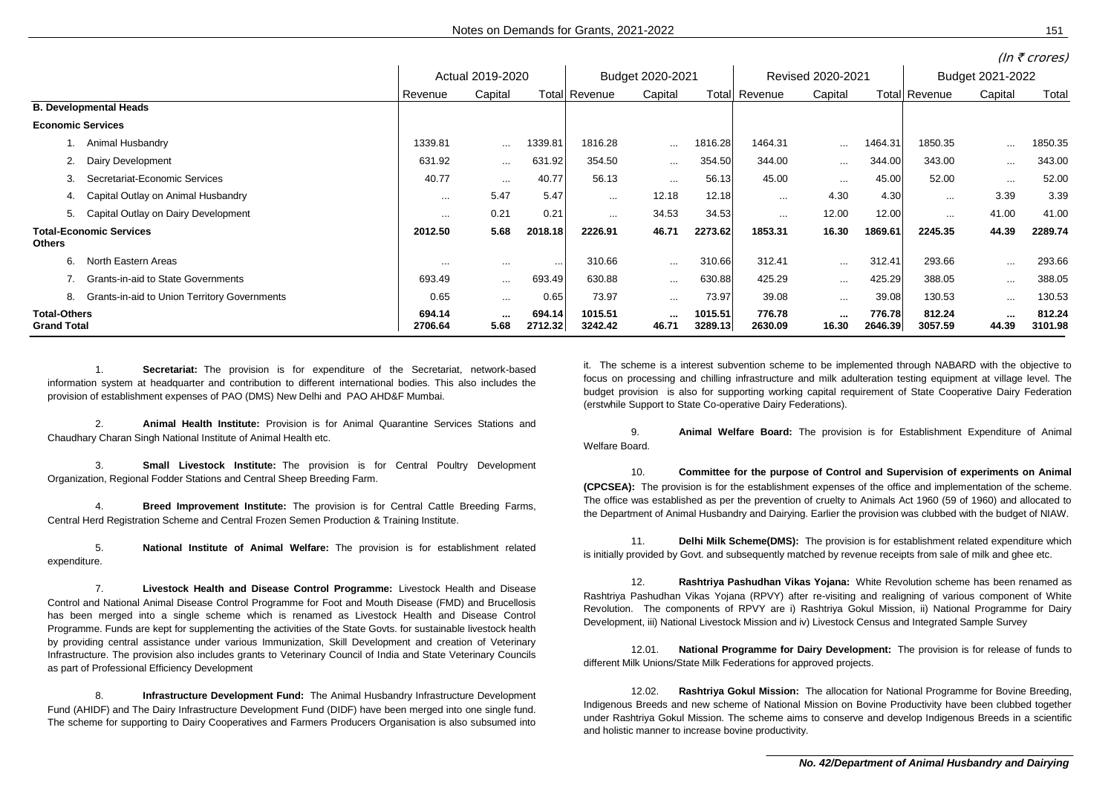|                                                           |          | Actual 2019-2020 |          |                      | Budget 2020-2021     |         |          | Revised 2020-2021 |         |               | Budget 2021-2022 |         |  |
|-----------------------------------------------------------|----------|------------------|----------|----------------------|----------------------|---------|----------|-------------------|---------|---------------|------------------|---------|--|
|                                                           | Revenue  | Capital          |          | <b>Total Revenue</b> | Capital              | Total   | Revenue  | Capital           |         | Total Revenue | Capital          | Total   |  |
| <b>B. Developmental Heads</b>                             |          |                  |          |                      |                      |         |          |                   |         |               |                  |         |  |
| <b>Economic Services</b>                                  |          |                  |          |                      |                      |         |          |                   |         |               |                  |         |  |
| 1. Animal Husbandry                                       | 1339.81  | $\cdots$         | 1339.81  | 1816.28              | $\sim$               | 1816.28 | 1464.31  | $\cdots$          | 1464.31 | 1850.35       | $\cdots$         | 1850.35 |  |
| Dairy Development<br>2.                                   | 631.92   | $\cdots$         | 631.92   | 354.50               | $\sim$ $\sim$ $\sim$ | 354.50  | 344.00   | $\cdots$          | 344.00  | 343.00        | $\cdots$         | 343.00  |  |
| Secretariat-Economic Services<br>3.                       | 40.77    | $\cdots$         | 40.77    | 56.13                | $\cdots$             | 56.13   | 45.00    | $\cdots$          | 45.00   | 52.00         | $\cdots$         | 52.00   |  |
| 4. Capital Outlay on Animal Husbandry                     | $\cdots$ | 5.47             | 5.47     | $\cdots$             | 12.18                | 12.18   | $\cdots$ | 4.30              | 4.30    | $\cdots$      | 3.39             | 3.39    |  |
| Capital Outlay on Dairy Development<br>5.                 | $\cdots$ | 0.21             | 0.21     | $\cdots$             | 34.53                | 34.53   | $\cdots$ | 12.00             | 12.00   | $\cdots$      | 41.00            | 41.00   |  |
| <b>Total-Economic Services</b><br>Others                  | 2012.50  | 5.68             | 2018.18  | 2226.91              | 46.71                | 2273.62 | 1853.31  | 16.30             | 1869.61 | 2245.35       | 44.39            | 2289.74 |  |
| North Eastern Areas<br>6.                                 | $\cdots$ | $\cdots$         | $\cdots$ | 310.66               | $\cdots$             | 310.66  | 312.41   | $\cdots$          | 312.41  | 293.66        | $\cdots$         | 293.66  |  |
| <b>Grants-in-aid to State Governments</b>                 | 693.49   | $\cdots$         | 693.49   | 630.88               | $\cdots$             | 630.88  | 425.29   | $\cdots$          | 425.29  | 388.05        | $\cdots$         | 388.05  |  |
| <b>Grants-in-aid to Union Territory Governments</b><br>8. | 0.65     | $\cdots$         | 0.65     | 73.97                | $\cdots$             | 73.97   | 39.08    | $\cdots$          | 39.08   | 130.53        | $\cdots$         | 130.53  |  |
| <b>Total-Others</b>                                       | 694.14   |                  | 694.14   | 1015.51              | <b>Service</b>       | 1015.51 | 776.78   |                   | 776.78  | 812.24        | <b>ALC 1</b>     | 812.24  |  |

**Grand Total 2706.64 5.68 2712.32 3242.42 46.71 3289.13 2630.09 16.30 2646.39 3057.59 44.39 3101.98**

1. **Secretariat:**..The provision is for expenditure of the Secretariat, network-based information system at headquarter and contribution to different international bodies. This also includes the provision of establishment expenses of PAO (DMS) New Delhi and PAO AHD&F Mumbai.

2. **Animal Health Institute:** Provision is for Animal Quarantine Services Stations and Chaudhary Charan Singh National Institute of Animal Health etc.

3. **Small Livestock Institute:** The provision is for Central Poultry Development Organization, Regional Fodder Stations and Central Sheep Breeding Farm.

4. **Breed Improvement Institute:** The provision is for Central Cattle Breeding Farms, Central Herd Registration Scheme and Central Frozen Semen Production & Training Institute.

5. **National Institute of Animal Welfare:** The provision is for establishment related expenditure.

7. **Livestock Health and Disease Control Programme:**..Livestock Health and Disease Control and National Animal Disease Control Programme for Foot and Mouth Disease (FMD) and Brucellosis has been merged into a single scheme which is renamed as Livestock Health and Disease Control Programme. Funds are kept for supplementing the activities of the State Govts. for sustainable livestock health by providing central assistance under various Immunization, Skill Development and creation of Veterinary Infrastructure. The provision also includes grants to Veterinary Council of India and State Veterinary Councils as part of Professional Efficiency Development

8. **Infrastructure Development Fund:** The Animal Husbandry Infrastructure Development Fund (AHIDF) and The Dairy Infrastructure Development Fund (DIDF) have been merged into one single fund. The scheme for supporting to Dairy Cooperatives and Farmers Producers Organisation is also subsumed into it. The scheme is a interest subvention scheme to be implemented through NABARD with the objective to focus on processing and chilling infrastructure and milk adulteration testing equipment at village level. The budget provision is also for supporting working capital requirement of State Cooperative Dairy Federation (erstwhile Support to State Co-operative Dairy Federations).

9. **Animal Welfare Board:** The provision is for Establishment Expenditure of Animal Welfare Board.

10. **Committee for the purpose of Control and Supervision of experiments on Animal (CPCSEA):** The provision is for the establishment expenses of the office and implementation of the scheme. The office was established as per the prevention of cruelty to Animals Act 1960 (59 of 1960) and allocated to the Department of Animal Husbandry and Dairying. Earlier the provision was clubbed with the budget of NIAW.

11. **Delhi Milk Scheme(DMS):** The provision is for establishment related expenditure which is initially provided by Govt. and subsequently matched by revenue receipts from sale of milk and ghee etc.

12. **Rashtriya Pashudhan Vikas Yojana:**..White Revolution scheme has been renamed as Rashtriya Pashudhan Vikas Yojana (RPVY) after re-visiting and realigning of various component of White Revolution. The components of RPVY are i) Rashtriya Gokul Mission, ii) National Programme for Dairy Development, iii) National Livestock Mission and iv) Livestock Census and Integrated Sample Survey

12.01. **National Programme for Dairy Development:** The provision is for release of funds to different Milk Unions/State Milk Federations for approved projects.

12.02. **Rashtriya Gokul Mission:** The allocation for National Programme for Bovine Breeding, Indigenous Breeds and new scheme of National Mission on Bovine Productivity have been clubbed together under Rashtriya Gokul Mission. The scheme aims to conserve and develop Indigenous Breeds in a scientific and holistic manner to increase bovine productivity.